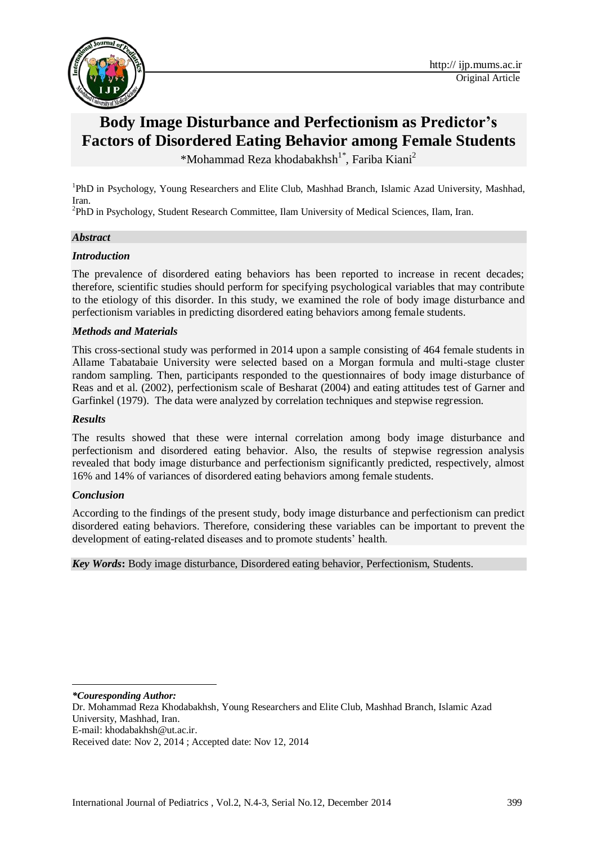

# **Body Image Disturbance and Perfectionism as Predictor's Factors of Disordered Eating Behavior among Female Students**

\*Mohammad Reza khodabakhsh<sup>1\*</sup>, Fariba Kiani<sup>2</sup>

<sup>1</sup>PhD in Psychology, Young Researchers and Elite Club, Mashhad Branch, Islamic Azad University, Mashhad, Iran.

<sup>2</sup>PhD in Psychology, Student Research Committee, Ilam University of Medical Sciences, Ilam, Iran.

#### *Abstract*

#### *Introduction*

The prevalence of disordered eating behaviors has been reported to increase in recent decades; therefore, scientific studies should perform for specifying psychological variables that may contribute to the etiology of this disorder. In this study, we examined the role of body image disturbance and perfectionism variables in predicting disordered eating behaviors among female students.

#### *Methods and Materials*

This cross-sectional study was performed in 2014 upon a sample consisting of 464 female students in Allame Tabatabaie University were selected based on a Morgan formula and multi-stage cluster random sampling. Then, participants responded to the questionnaires of body image disturbance of Reas and et al. (2002), perfectionism scale of Besharat (2004) and eating attitudes test of Garner and Garfinkel (1979). The data were analyzed by correlation techniques and stepwise regression.

#### *Results*

The results showed that these were internal correlation among body image disturbance and perfectionism and disordered eating behavior. Also, the results of stepwise regression analysis revealed that body image disturbance and perfectionism significantly predicted, respectively, almost 16% and 14% of variances of disordered eating behaviors among female students.

#### *Conclusion*

According to the findings of the present study, body image disturbance and perfectionism can predict disordered eating behaviors. Therefore, considering these variables can be important to prevent the development of eating-related diseases and to promote students' health.

*Key Words***:** Body image disturbance, Disordered eating behavior, Perfectionism, Students.

1 *\*Couresponding Author:* 

Dr. Mohammad Reza Khodabakhsh, Young Researchers and Elite Club, Mashhad Branch, Islamic Azad University, Mashhad, Iran.

E-mail: [khodabakhsh@ut.ac.ir.](mailto:khodabakhsh@ut.ac.ir)

Received date: Nov 2, 2014 ; Accepted date: Nov 12, 2014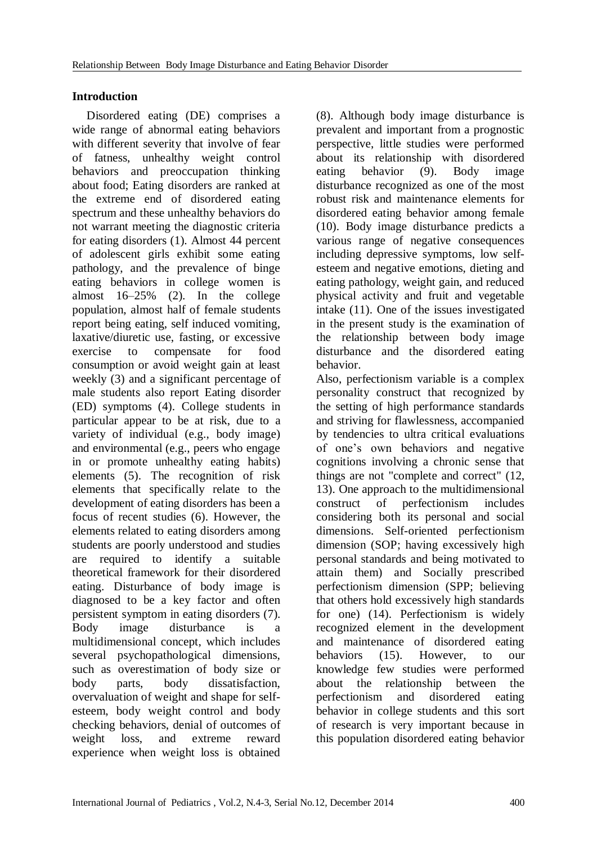## **Introduction**

Disordered eating (DE) comprises a wide range of abnormal eating behaviors with different severity that involve of fear of fatness, unhealthy weight control behaviors and preoccupation thinking about food; Eating disorders are ranked at the extreme end of disordered eating spectrum and these unhealthy behaviors do not warrant meeting the diagnostic criteria for eating disorders (1). Almost 44 percent of adolescent girls exhibit some eating pathology, and the prevalence of binge eating behaviors in college women is almost 16–25% (2). In the college population, almost half of female students report being eating, self induced vomiting, laxative/diuretic use, fasting, or excessive exercise to compensate for food consumption or avoid weight gain at least weekly (3) and a significant percentage of male students also report Eating disorder (ED) symptoms (4). College students in particular appear to be at risk, due to a variety of individual (e.g., body image) and environmental (e.g., peers who engage in or promote unhealthy eating habits) elements (5). The recognition of risk elements that specifically relate to the development of eating disorders has been a focus of recent studies (6). However, the elements related to eating disorders among students are poorly understood and studies are required to identify a suitable theoretical framework for their disordered eating. Disturbance of body image is diagnosed to be a key factor and often persistent symptom in eating disorders (7). Body image disturbance is a multidimensional concept, which includes several psychopathological dimensions, such as overestimation of body size or body parts, body dissatisfaction, overvaluation of weight and shape for selfesteem, body weight control and body checking behaviors, denial of outcomes of weight loss, and extreme reward experience when weight loss is obtained

(8). Although body image disturbance is prevalent and important from a prognostic perspective, little studies were performed about its relationship with disordered eating behavior (9). Body image disturbance recognized as one of the most robust risk and maintenance elements for disordered eating behavior among female (10). Body image disturbance predicts a various range of negative consequences including depressive symptoms, low selfesteem and negative emotions, dieting and eating pathology, weight gain, and reduced physical activity and fruit and vegetable intake (11). One of the issues investigated in the present study is the examination of the relationship between body image disturbance and the disordered eating behavior.

Also, perfectionism variable is a complex personality construct that recognized by the setting of high performance standards and striving for flawlessness, accompanied by tendencies to ultra critical evaluations of one's own behaviors and negative cognitions involving a chronic sense that things are not "complete and correct" (12, 13). One approach to the multidimensional construct of perfectionism includes considering both its personal and social dimensions. Self-oriented perfectionism dimension (SOP; having excessively high personal standards and being motivated to attain them) and Socially prescribed perfectionism dimension (SPP; believing that others hold excessively high standards for one) (14). Perfectionism is widely recognized element in the development and maintenance of disordered eating behaviors (15). However, to our knowledge few studies were performed about the relationship between the perfectionism and disordered eating behavior in college students and this sort of research is very important because in this population disordered eating behavior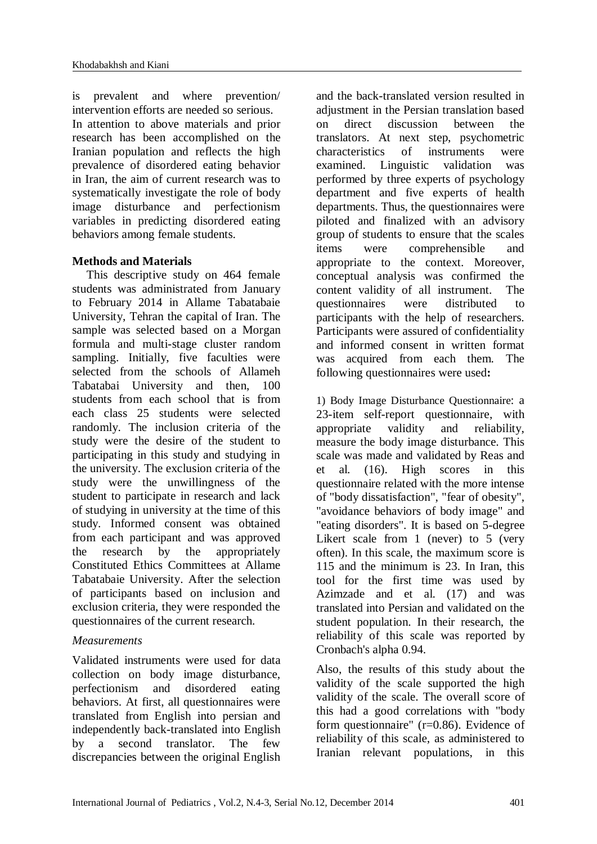is prevalent and where prevention/ intervention efforts are needed so serious. In attention to above materials and prior research has been accomplished on the Iranian population and reflects the high prevalence of disordered eating behavior in Iran, the aim of current research was to systematically investigate the role of body image disturbance and perfectionism variables in predicting disordered eating behaviors among female students.

## **Methods and Materials**

This descriptive study on 464 female students was administrated from January to February 2014 in Allame Tabatabaie University, Tehran the capital of Iran. The sample was selected based on a Morgan formula and multi-stage cluster random sampling. Initially, five faculties were selected from the schools of Allameh Tabatabai University and then, 100 students from each school that is from each class 25 students were selected randomly. The inclusion criteria of the study were the desire of the student to participating in this study and studying in the university. The exclusion criteria of the study were the unwillingness of the student to participate in research and lack of studying in university at the time of this study. Informed consent was obtained from each participant and was approved the research by the appropriately Constituted Ethics Committees at Allame Tabatabaie University. After the selection of participants based on inclusion and exclusion criteria, they were responded the questionnaires of the current research.

## *Measurements*

Validated instruments were used for data collection on body image disturbance, perfectionism and disordered eating behaviors. At first, all questionnaires were translated from English into persian and independently back-translated into English by a second translator. The few discrepancies between the original English

and the back-translated version resulted in adjustment in the Persian translation based on direct discussion between the translators. At next step, psychometric characteristics of instruments were examined. Linguistic validation was performed by three experts of psychology department and five experts of health departments. Thus, the questionnaires were piloted and finalized with an advisory group of students to ensure that the scales items were comprehensible and appropriate to the context. Moreover, conceptual analysis was confirmed the content validity of all instrument. The questionnaires were distributed to participants with the help of researchers. Participants were assured of confidentiality and informed consent in written format was acquired from each them. The following questionnaires were used**:** 

1) Body Image Disturbance Questionnaire: a 23-item self-report questionnaire, with appropriate validity and reliability, measure the body image disturbance. This scale was made and validated by Reas and et al. (16). High scores in this questionnaire related with the more intense of "body dissatisfaction", "fear of obesity", "avoidance behaviors of body image" and "eating disorders". It is based on 5-degree Likert scale from 1 (never) to 5 (very often). In this scale, the maximum score is 115 and the minimum is 23. In Iran, this tool for the first time was used by Azimzade and et al. (17) and was translated into Persian and validated on the student population. In their research, the reliability of this scale was reported by Cronbach's alpha 0.94.

Also, the results of this study about the validity of the scale supported the high validity of the scale. The overall score of this had a good correlations with "body form questionnaire" (r=0.86). Evidence of reliability of this scale, as administered to Iranian relevant populations, in this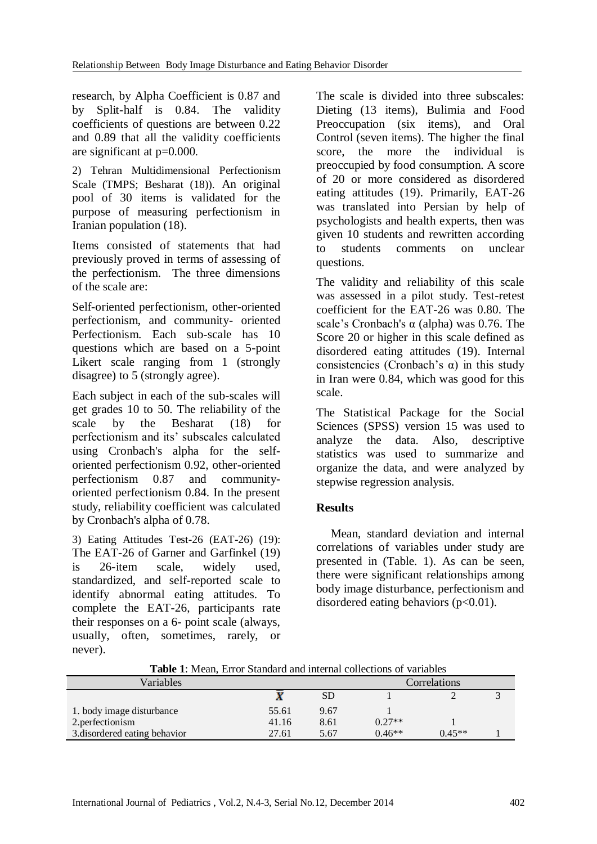research, by Alpha Coefficient is 0.87 and by Split-half is 0.84. The validity coefficients of questions are between 0.22 and 0.89 that all the validity coefficients are significant at p=0.000.

2) Tehran Multidimensional Perfectionism Scale (TMPS; Besharat (18)). An original pool of 30 items is validated for the purpose of measuring perfectionism in Iranian population (18).

Items consisted of statements that had previously proved in terms of assessing of the perfectionism. The three dimensions of the scale are:

Self-oriented perfectionism, other-oriented perfectionism, and community- oriented Perfectionism. Each sub-scale has 10 questions which are based on a 5-point Likert scale ranging from 1 (strongly disagree) to 5 (strongly agree).

Each subject in each of the sub-scales will get grades 10 to 50. The reliability of the scale by the Besharat (18) for perfectionism and its' subscales calculated using Cronbach's alpha for the selforiented perfectionism 0.92, other-oriented perfectionism 0.87 and communityoriented perfectionism 0.84. In the present study, reliability coefficient was calculated by Cronbach's alpha of 0.78.

3) Eating Attitudes Test-26 (EAT-26) (19): The EAT-26 of Garner and Garfinkel (19) is 26-item scale, widely used, standardized, and self-reported scale to identify abnormal eating attitudes. To complete the EAT-26, participants rate their responses on a 6- point scale (always, usually, often, sometimes, rarely, or never).

The scale is divided into three subscales: Dieting (13 items), Bulimia and Food Preoccupation (six items), and Oral Control (seven items). The higher the final score, the more the individual is preoccupied by food consumption. A score of 20 or more considered as disordered eating attitudes (19). Primarily, EAT-26 was translated into Persian by help of psychologists and health experts, then was given 10 students and rewritten according to students comments on unclear questions.

The validity and reliability of this scale was assessed in a pilot study. Test-retest coefficient for the EAT-26 was 0.80. The scale's Cronbach's  $\alpha$  (alpha) was 0.76. The Score 20 or higher in this scale defined as disordered eating attitudes (19). Internal consistencies (Cronbach's  $\alpha$ ) in this study in Iran were 0.84, which was good for this scale.

The Statistical Package for the Social Sciences (SPSS) version 15 was used to analyze the data. Also, descriptive statistics was used to summarize and organize the data, and were analyzed by stepwise regression analysis.

# **Results**

Mean, standard deviation and internal correlations of variables under study are presented in (Table. 1). As can be seen, there were significant relationships among body image disturbance, perfectionism and disordered eating behaviors  $(p<0.01)$ .

| Variables                     |       | Correlations |          |          |  |
|-------------------------------|-------|--------------|----------|----------|--|
|                               |       | <b>SD</b>    |          |          |  |
| 1. body image disturbance     | 55.61 | 9.67         |          |          |  |
| 2. perfectionism              | 41.16 | 8.61         | $0.27**$ |          |  |
| 3. disordered eating behavior | 27.61 | 5.67         | $0.46**$ | $0.45**$ |  |

**Table 1**: Mean, Error Standard and internal collections of variables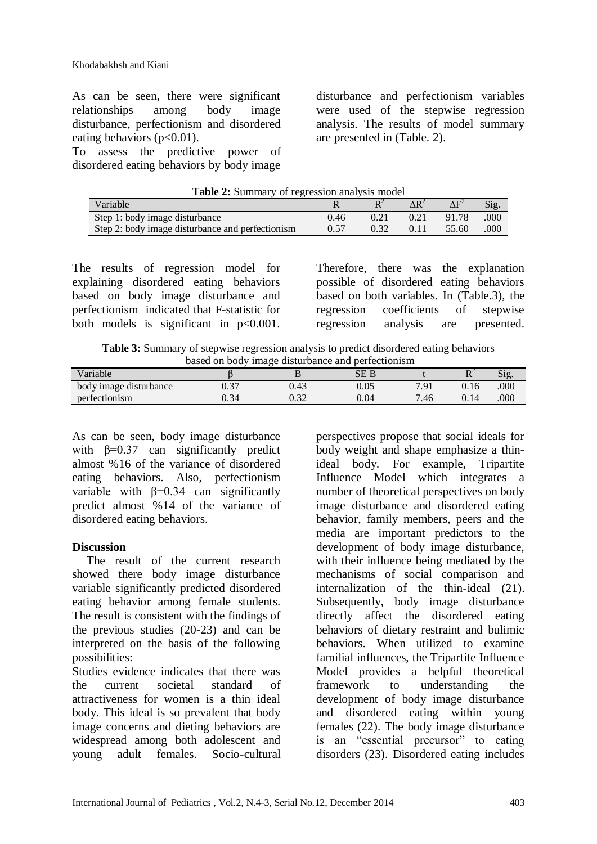As can be seen, there were significant relationships among body image disturbance, perfectionism and disordered eating behaviors  $(p<0.01)$ .

To assess the predictive power of disordered eating behaviors by body image

disturbance and perfectionism variables were used of the stepwise regression analysis. The results of model summary are presented in (Table. 2).

| <b>Table 2:</b> Summary of regression analysis model |      |      |      |              |      |  |  |
|------------------------------------------------------|------|------|------|--------------|------|--|--|
| Variable                                             |      |      |      | $\Delta F^2$ | Sig. |  |  |
| Step 1: body image disturbance                       | 0.46 | 0.21 | 0.21 | 91.78        | .000 |  |  |
| Step 2: body image disturbance and perfectionism     | 0.57 | 0.32 | 0.11 | 55.60        | .000 |  |  |
|                                                      |      |      |      |              |      |  |  |

**Table 2:**  $\mathbf{r}$   $\mathbf{r}$   $\mathbf{r}$   $\mathbf{r}$   $\mathbf{r}$   $\mathbf{r}$   $\mathbf{r}$   $\mathbf{r}$   $\mathbf{r}$   $\mathbf{r}$   $\mathbf{r}$   $\mathbf{r}$   $\mathbf{r}$   $\mathbf{r}$   $\mathbf{r}$   $\mathbf{r}$   $\mathbf{r}$   $\mathbf{r}$   $\mathbf{r}$   $\mathbf{r}$   $\mathbf{r}$   $\mathbf{r}$   $\mathbf{r}$   $\mathbf$ 

The results of regression model for explaining disordered eating behaviors based on body image disturbance and perfectionism indicated that F-statistic for both models is significant in  $p<0.001$ .

Therefore, there was the explanation possible of disordered eating behaviors based on both variables. In (Table.3), the regression coefficients of stepwise regression analysis are presented.

**Table 3:** Summary of stepwise regression analysis to predict disordered eating behaviors based on body image disturbance and perfectionism

|                        | ----------<br>----- |      |          |      |          |                                     |
|------------------------|---------------------|------|----------|------|----------|-------------------------------------|
| <i>V</i> ariable       |                     |      | SE B     |      | DΖ<br>** | $\sim$<br>$\mathbf{S}1\mathbf{Q}$ . |
| body image disturbance | n 27<br>J.J         | 0.43 | $0.05\,$ | 7.91 | 0.16     | .000                                |
| perfectionism          | 0.34                | ሰ 20 | 0.04     | 7.46 | 0.14     | .000                                |

As can be seen, body image disturbance with  $\beta$ =0.37 can significantly predict almost %16 of the variance of disordered eating behaviors. Also, perfectionism variable with β=0.34 can significantly predict almost %14 of the variance of disordered eating behaviors.

### **Discussion**

The result of the current research showed there body image disturbance variable significantly predicted disordered eating behavior among female students. The result is consistent with the findings of the previous studies (20-23) and can be interpreted on the basis of the following possibilities:

Studies evidence indicates that there was the current societal standard of attractiveness for women is a thin ideal body. This ideal is so prevalent that body image concerns and dieting behaviors are widespread among both adolescent and young adult females. Socio-cultural

perspectives propose that social ideals for body weight and shape emphasize a thinideal body. For example, Tripartite Influence Model which integrates a number of theoretical perspectives on body image disturbance and disordered eating behavior, family members, peers and the media are important predictors to the development of body image disturbance, with their influence being mediated by the mechanisms of social comparison and internalization of the thin-ideal (21). Subsequently, body image disturbance directly affect the disordered eating behaviors of dietary restraint and bulimic behaviors. When utilized to examine familial influences, the Tripartite Influence Model provides a helpful theoretical framework to understanding the development of body image disturbance and disordered eating within young females (22). The body image disturbance is an "essential precursor" to eating disorders (23). Disordered eating includes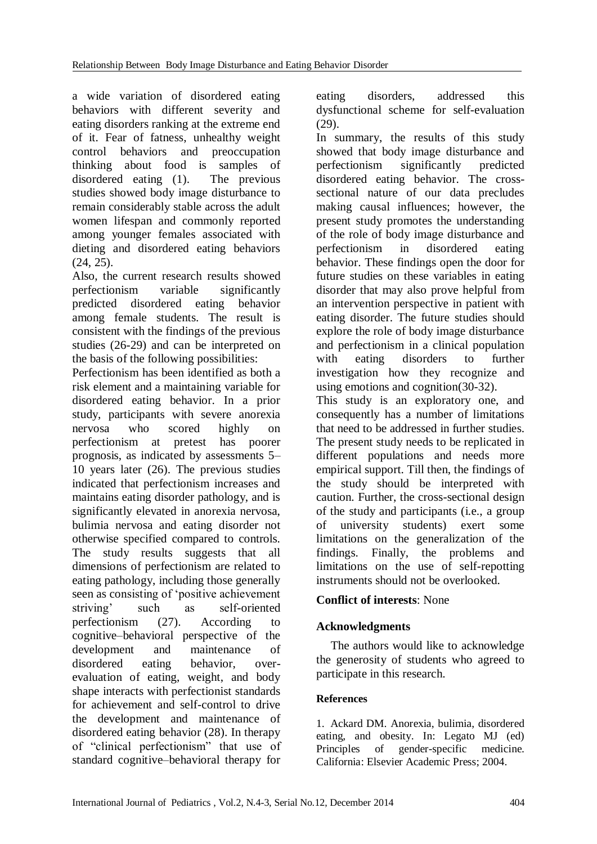a wide variation of disordered eating behaviors with different severity and eating disorders ranking at the extreme end of it. Fear of fatness, unhealthy weight control behaviors and preoccupation thinking about food is samples of disordered eating (1). The previous studies showed body image disturbance to remain considerably stable across the adult women lifespan and commonly reported among younger females associated with dieting and disordered eating behaviors  $(24, 25)$ .

Also, the current research results showed perfectionism variable significantly predicted disordered eating behavior among female students. The result is consistent with the findings of the previous studies (26-29) and can be interpreted on the basis of the following possibilities:

Perfectionism has been identified as both a risk element and a maintaining variable for disordered eating behavior. In a prior study, participants with severe anorexia nervosa who scored highly on perfectionism at pretest has poorer prognosis, as indicated by assessments 5– 10 years later (26). The previous studies indicated that perfectionism increases and maintains eating disorder pathology, and is significantly elevated in anorexia nervosa, bulimia nervosa and eating disorder not otherwise specified compared to controls. The study results suggests that all dimensions of perfectionism are related to eating pathology, including those generally seen as consisting of 'positive achievement striving' such as self-oriented perfectionism (27). According to cognitive–behavioral perspective of the development and maintenance of disordered eating behavior, overevaluation of eating, weight, and body shape interacts with perfectionist standards for achievement and self-control to drive the development and maintenance of disordered eating behavior (28). In therapy of "clinical perfectionism" that use of standard cognitive–behavioral therapy for

eating disorders, addressed this dysfunctional scheme for self-evaluation (29).

In summary, the results of this study showed that body image disturbance and perfectionism significantly predicted disordered eating behavior. The crosssectional nature of our data precludes making causal influences; however, the present study promotes the understanding of the role of body image disturbance and perfectionism in disordered eating behavior. These findings open the door for future studies on these variables in eating disorder that may also prove helpful from an intervention perspective in patient with eating disorder. The future studies should explore the role of body image disturbance and perfectionism in a clinical population with eating disorders to further investigation how they recognize and using emotions and cognition(30-32).

This study is an exploratory one, and consequently has a number of limitations that need to be addressed in further studies. The present study needs to be replicated in different populations and needs more empirical support. Till then, the findings of the study should be interpreted with caution. Further, the cross-sectional design of the study and participants (i.e., a group of university students) exert some limitations on the generalization of the findings. Finally, the problems and limitations on the use of self-repotting instruments should not be overlooked.

## **Conflict of interests**: None

## **Acknowledgments**

The authors would like to acknowledge the generosity of students who agreed to participate in this research.

## **References**

1. Ackard DM. Anorexia, bulimia, disordered eating, and obesity. In: Legato MJ (ed) Principles of gender-specific medicine. California: Elsevier Academic Press; 2004.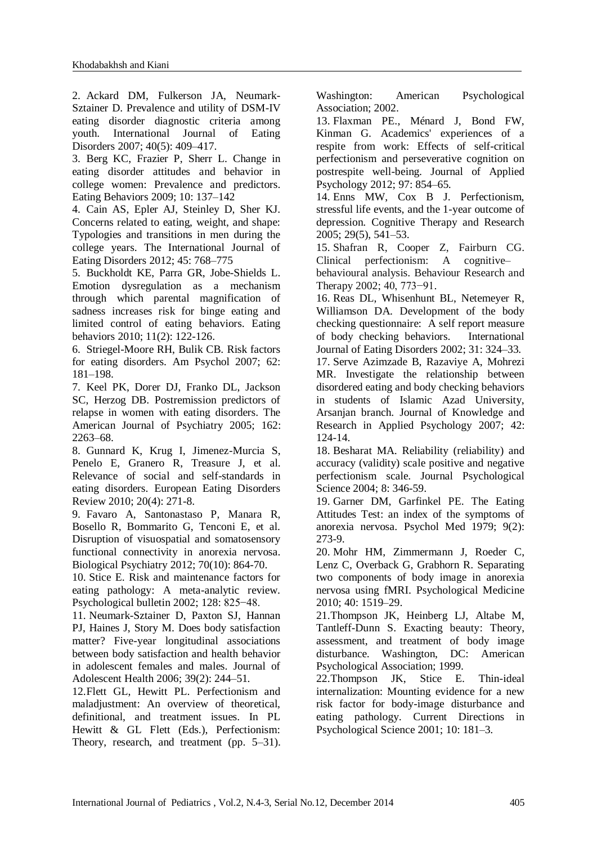2. Ackard DM, Fulkerson JA, Neumark-Sztainer D. Prevalence and utility of DSM-IV eating disorder diagnostic criteria among youth. International Journal of Eating Disorders 2007; 40(5): 409–417.

3. Berg KC, Frazier P, Sherr L. Change in eating disorder attitudes and behavior in college women: Prevalence and predictors. Eating Behaviors 2009; 10: 137–142

4. Cain AS, Epler AJ, Steinley D, Sher KJ. Concerns related to eating, weight, and shape: Typologies and transitions in men during the college years. The International Journal of Eating Disorders 2012; 45: 768–775

5. Buckholdt KE, Parra GR, Jobe-Shields L. Emotion dysregulation as a mechanism through which parental magnification of sadness increases risk for binge eating and limited control of eating behaviors. Eating behaviors 2010; 11(2): 122-126.

6. Striegel-Moore RH, Bulik CB. Risk factors for eating disorders. Am Psychol 2007; 62: 181–198.

7. Keel PK, Dorer DJ, Franko DL, Jackson SC, Herzog DB. Postremission predictors of relapse in women with eating disorders. The American Journal of Psychiatry 2005; 162: 2263–68.

8. Gunnard K, Krug I, Jimenez-Murcia S, Penelo E, Granero R, Treasure J, et al. Relevance of social and self-standards in eating disorders. European Eating Disorders Review 2010; 20(4): 271-8.

9. Favaro A, Santonastaso P, Manara R, Bosello R, Bommarito G, Tenconi E, et al. Disruption of visuospatial and somatosensory functional connectivity in anorexia nervosa. Biological Psychiatry 2012; 70(10): 864-70.

10. Stice E. Risk and maintenance factors for eating pathology: A meta-analytic review. Psychological bulletin 2002; 128: 825−48.

11. Neumark-Sztainer D, Paxton SJ, Hannan PJ, Haines J, Story M. Does body satisfaction matter? Five-year longitudinal associations between body satisfaction and health behavior in adolescent females and males. Journal of Adolescent Health 2006; 39(2): 244–51.

12.Flett GL, Hewitt PL. Perfectionism and maladjustment: An overview of theoretical, definitional, and treatment issues. In PL Hewitt & GL Flett (Eds.), Perfectionism: Theory, research, and treatment (pp. 5–31).

Washington: American Psychological Association; 2002.

13. Flaxman PE., Ménard J, Bond FW, Kinman G. Academics' experiences of a respite from work: Effects of self-critical perfectionism and perseverative cognition on postrespite well-being. Journal of Applied Psychology 2012; 97: 854–65.

14. Enns MW, Cox B J. Perfectionism, stressful life events, and the 1-year outcome of depression. Cognitive Therapy and Research 2005; 29(5), 541–53.

15. Shafran R, Cooper Z, Fairburn CG. Clinical perfectionism: A cognitive–

behavioural analysis. Behaviour Research and Therapy 2002; 40, 773−91.

16. Reas DL, Whisenhunt BL, Netemeyer R, Williamson DA. Development of the body checking questionnaire: A self report measure of body checking behaviors. International Journal of Eating Disorders 2002; 31: 324–33.

17. Serve Azimzade B, Razaviye A, Mohrezi MR. Investigate the relationship between disordered eating and body checking behaviors in students of Islamic Azad University, Arsanjan branch. Journal of Knowledge and Research in Applied Psychology 2007; 42: 124-14.

18. Besharat MA. Reliability (reliability) and accuracy (validity) scale positive and negative perfectionism scale. Journal Psychological Science 2004; 8: 346-59.

19. Garner DM, Garfinkel PE. The Eating Attitudes Test: an index of the symptoms of anorexia nervosa. Psychol Med 1979; 9(2): 273-9.

20. Mohr HM, Zimmermann J, Roeder C, Lenz C, Overback G, Grabhorn R. Separating two components of body image in anorexia nervosa using fMRI. Psychological Medicine 2010; 40: 1519–29.

21.Thompson JK, Heinberg LJ, Altabe M, Tantleff-Dunn S. Exacting beauty: Theory, assessment, and treatment of body image disturbance. Washington, DC: American Psychological Association; 1999.

22.Thompson JK, Stice E. Thin-ideal internalization: Mounting evidence for a new risk factor for body-image disturbance and eating pathology. Current Directions in Psychological Science 2001; 10: 181–3.